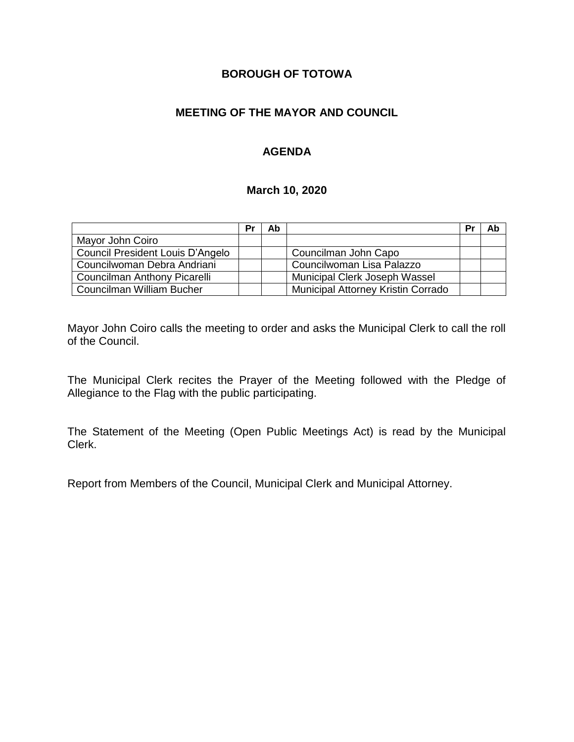# **BOROUGH OF TOTOWA**

# **MEETING OF THE MAYOR AND COUNCIL**

# **AGENDA**

#### **March 10, 2020**

|                                  | Pr | Ab |                                    | Pr | Ab |
|----------------------------------|----|----|------------------------------------|----|----|
| Mayor John Coiro                 |    |    |                                    |    |    |
| Council President Louis D'Angelo |    |    | Councilman John Capo               |    |    |
| Councilwoman Debra Andriani      |    |    | Councilwoman Lisa Palazzo          |    |    |
| Councilman Anthony Picarelli     |    |    | Municipal Clerk Joseph Wassel      |    |    |
| Councilman William Bucher        |    |    | Municipal Attorney Kristin Corrado |    |    |

Mayor John Coiro calls the meeting to order and asks the Municipal Clerk to call the roll of the Council.

The Municipal Clerk recites the Prayer of the Meeting followed with the Pledge of Allegiance to the Flag with the public participating.

The Statement of the Meeting (Open Public Meetings Act) is read by the Municipal Clerk.

Report from Members of the Council, Municipal Clerk and Municipal Attorney.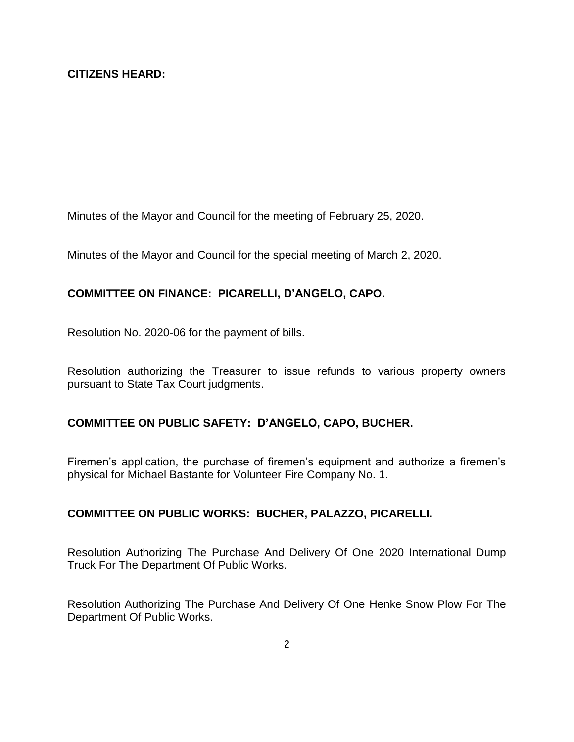Minutes of the Mayor and Council for the meeting of February 25, 2020.

Minutes of the Mayor and Council for the special meeting of March 2, 2020.

# **COMMITTEE ON FINANCE: PICARELLI, D'ANGELO, CAPO.**

Resolution No. 2020-06 for the payment of bills.

Resolution authorizing the Treasurer to issue refunds to various property owners pursuant to State Tax Court judgments.

# **COMMITTEE ON PUBLIC SAFETY: D'ANGELO, CAPO, BUCHER.**

Firemen's application, the purchase of firemen's equipment and authorize a firemen's physical for Michael Bastante for Volunteer Fire Company No. 1.

## **COMMITTEE ON PUBLIC WORKS: BUCHER, PALAZZO, PICARELLI.**

Resolution Authorizing The Purchase And Delivery Of One 2020 International Dump Truck For The Department Of Public Works.

Resolution Authorizing The Purchase And Delivery Of One Henke Snow Plow For The Department Of Public Works.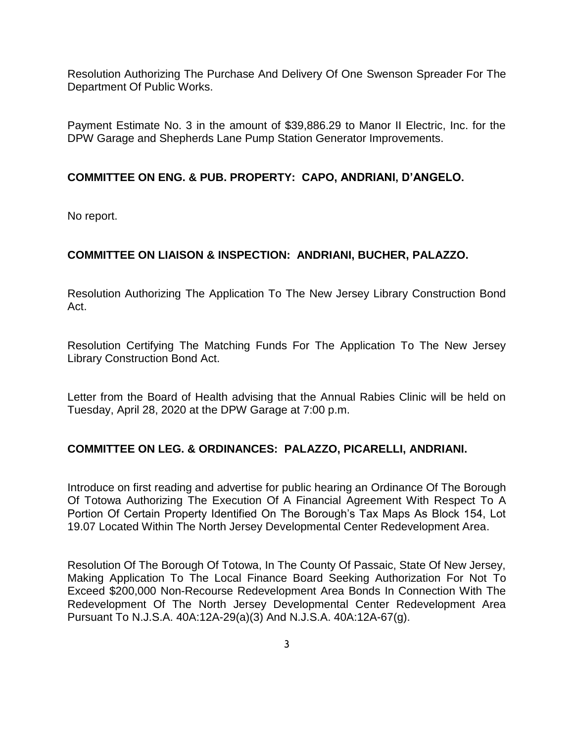Resolution Authorizing The Purchase And Delivery Of One Swenson Spreader For The Department Of Public Works.

Payment Estimate No. 3 in the amount of \$39,886.29 to Manor II Electric, Inc. for the DPW Garage and Shepherds Lane Pump Station Generator Improvements.

#### **COMMITTEE ON ENG. & PUB. PROPERTY: CAPO, ANDRIANI, D'ANGELO.**

No report.

## **COMMITTEE ON LIAISON & INSPECTION: ANDRIANI, BUCHER, PALAZZO.**

Resolution Authorizing The Application To The New Jersey Library Construction Bond Act.

Resolution Certifying The Matching Funds For The Application To The New Jersey Library Construction Bond Act.

Letter from the Board of Health advising that the Annual Rabies Clinic will be held on Tuesday, April 28, 2020 at the DPW Garage at 7:00 p.m.

## **COMMITTEE ON LEG. & ORDINANCES: PALAZZO, PICARELLI, ANDRIANI.**

Introduce on first reading and advertise for public hearing an Ordinance Of The Borough Of Totowa Authorizing The Execution Of A Financial Agreement With Respect To A Portion Of Certain Property Identified On The Borough's Tax Maps As Block 154, Lot 19.07 Located Within The North Jersey Developmental Center Redevelopment Area.

Resolution Of The Borough Of Totowa, In The County Of Passaic, State Of New Jersey, Making Application To The Local Finance Board Seeking Authorization For Not To Exceed \$200,000 Non-Recourse Redevelopment Area Bonds In Connection With The Redevelopment Of The North Jersey Developmental Center Redevelopment Area Pursuant To N.J.S.A. 40A:12A-29(a)(3) And N.J.S.A. 40A:12A-67(g).